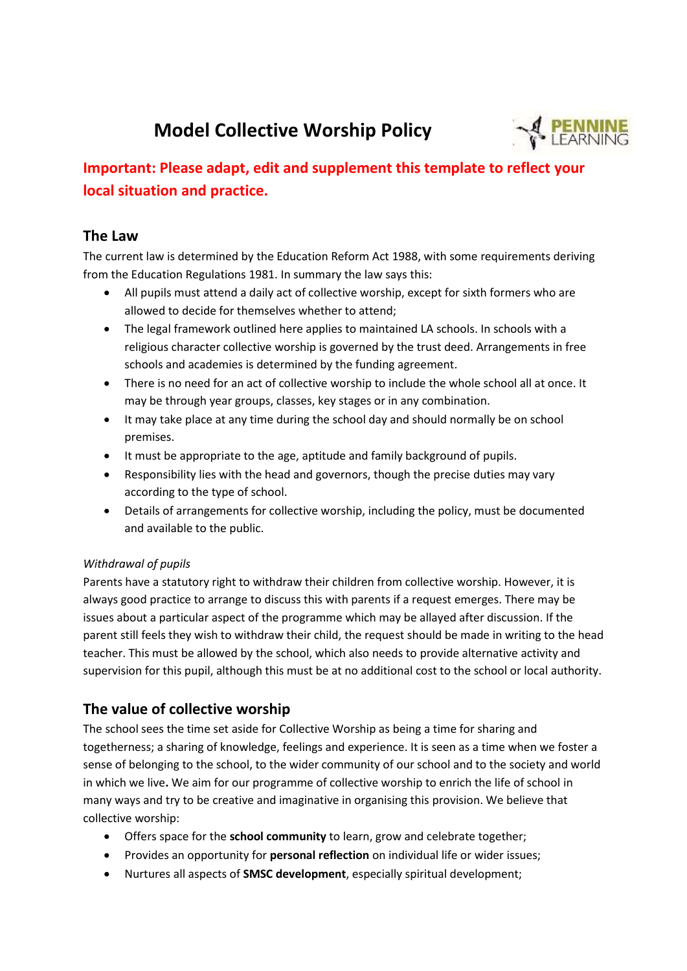# **Model Collective Worship Policy**



## **Important: Please adapt, edit and supplement this template to reflect your local situation and practice.**

#### **The Law**

The current law is determined by the Education Reform Act 1988, with some requirements deriving from the Education Regulations 1981. In summary the law says this:

- All pupils must attend a daily act of collective worship, except for sixth formers who are allowed to decide for themselves whether to attend;
- The legal framework outlined here applies to maintained LA schools. In schools with a religious character collective worship is governed by the trust deed. Arrangements in free schools and academies is determined by the funding agreement.
- There is no need for an act of collective worship to include the whole school all at once. It may be through year groups, classes, key stages or in any combination.
- It may take place at any time during the school day and should normally be on school premises.
- It must be appropriate to the age, aptitude and family background of pupils.
- Responsibility lies with the head and governors, though the precise duties may vary according to the type of school.
- Details of arrangements for collective worship, including the policy, must be documented and available to the public.

#### *Withdrawal of pupils*

Parents have a statutory right to withdraw their children from collective worship. However, it is always good practice to arrange to discuss this with parents if a request emerges. There may be issues about a particular aspect of the programme which may be allayed after discussion. If the parent still feels they wish to withdraw their child, the request should be made in writing to the head teacher. This must be allowed by the school, which also needs to provide alternative activity and supervision for this pupil, although this must be at no additional cost to the school or local authority.

## **The value of collective worship**

The school sees the time set aside for Collective Worship as being a time for sharing and togetherness; a sharing of knowledge, feelings and experience. It is seen as a time when we foster a sense of belonging to the school, to the wider community of our school and to the society and world in which we live**.** We aim for our programme of collective worship to enrich the life of school in many ways and try to be creative and imaginative in organising this provision. We believe that collective worship:

- Offers space for the **school community** to learn, grow and celebrate together;
- Provides an opportunity for **personal reflection** on individual life or wider issues;
- Nurtures all aspects of **SMSC development**, especially spiritual development;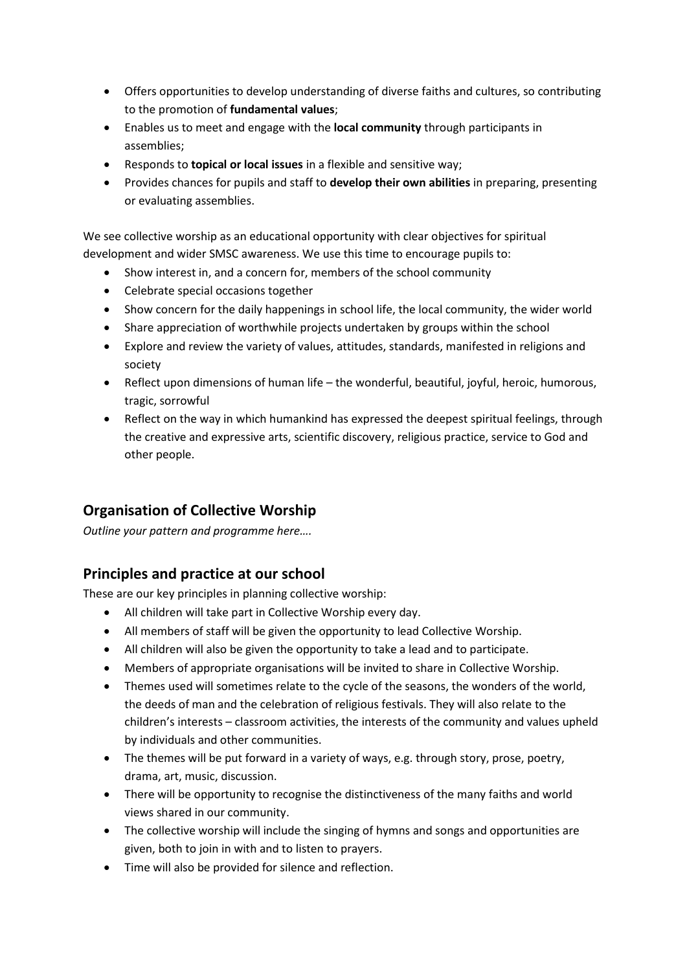- Offers opportunities to develop understanding of diverse faiths and cultures, so contributing to the promotion of **fundamental values**;
- Enables us to meet and engage with the **local community** through participants in assemblies;
- Responds to **topical or local issues** in a flexible and sensitive way;
- Provides chances for pupils and staff to **develop their own abilities** in preparing, presenting or evaluating assemblies.

We see collective worship as an educational opportunity with clear objectives for spiritual development and wider SMSC awareness. We use this time to encourage pupils to:

- Show interest in, and a concern for, members of the school community
- Celebrate special occasions together
- Show concern for the daily happenings in school life, the local community, the wider world
- Share appreciation of worthwhile projects undertaken by groups within the school
- Explore and review the variety of values, attitudes, standards, manifested in religions and society
- Reflect upon dimensions of human life the wonderful, beautiful, joyful, heroic, humorous, tragic, sorrowful
- Reflect on the way in which humankind has expressed the deepest spiritual feelings, through the creative and expressive arts, scientific discovery, religious practice, service to God and other people.

## **Organisation of Collective Worship**

*Outline your pattern and programme here….*

### **Principles and practice at our school**

These are our key principles in planning collective worship:

- All children will take part in Collective Worship every day.
- All members of staff will be given the opportunity to lead Collective Worship.
- All children will also be given the opportunity to take a lead and to participate.
- Members of appropriate organisations will be invited to share in Collective Worship.
- Themes used will sometimes relate to the cycle of the seasons, the wonders of the world, the deeds of man and the celebration of religious festivals. They will also relate to the children's interests – classroom activities, the interests of the community and values upheld by individuals and other communities.
- The themes will be put forward in a variety of ways, e.g. through story, prose, poetry, drama, art, music, discussion.
- There will be opportunity to recognise the distinctiveness of the many faiths and world views shared in our community.
- The collective worship will include the singing of hymns and songs and opportunities are given, both to join in with and to listen to prayers.
- Time will also be provided for silence and reflection.